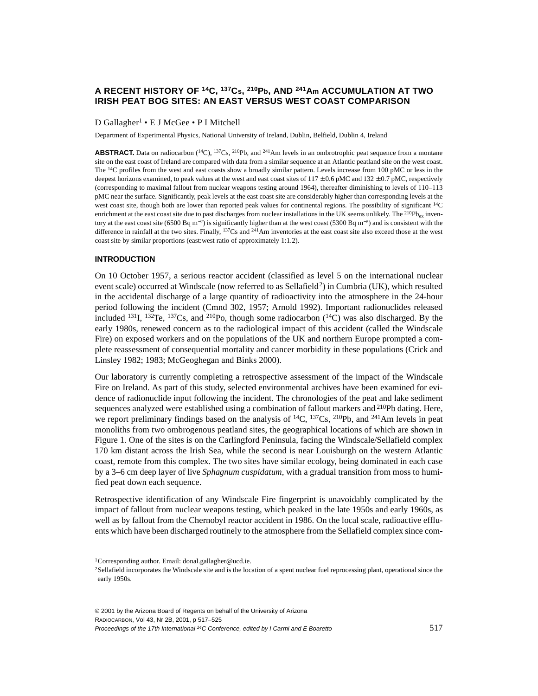# **A RECENT HISTORY OF 14C, 137Cs, 210Pb, AND 241Am ACCUMULATION AT TWO IRISH PEAT BOG SITES: AN EAST VERSUS WEST COAST COMPARISON**

## D Gallagher<sup>1</sup> • E J McGee • P I Mitchell

Department of Experimental Physics, National University of Ireland, Dublin, Belfield, Dublin 4, Ireland

**ABSTRACT**. Data on radiocarbon  $(^{14}C)$ ,  $^{137}Cs$ ,  $^{210}Pb$ , and  $^{241}Am$  levels in an ombrotrophic peat sequence from a montane site on the east coast of Ireland are compared with data from a similar sequence at an Atlantic peatland site on the west coast. The <sup>14</sup>C profiles from the west and east coasts show a broadly similar pattern. Levels increase from 100 pMC or less in the deepest horizons examined, to peak values at the west and east coast sites of  $117 \pm 0.6$  pMC and  $132 \pm 0.7$  pMC, respectively (corresponding to maximal fallout from nuclear weapons testing around 1964), thereafter diminishing to levels of 110–113 pMC near the surface. Significantly, peak levels at the east coast site are considerably higher than corresponding levels at the west coast site, though both are lower than reported peak values for continental regions. The possibility of significant <sup>14</sup>C enrichment at the east coast site due to past discharges from nuclear installations in the UK seems unlikely. The  $^{210}P_{\text{bg}}$  inventory at the east coast site (6500 Bq m<sup>-2</sup>) is significantly higher than at the west coast (5300 Bq m<sup>-2</sup>) and is consistent with the difference in rainfall at the two sites. Finally,  $137Cs$  and  $241Am$  inventories at the east coast site also exceed those at the west coast site by similar proportions (east:west ratio of approximately 1:1.2).

## **INTRODUCTION**

On 10 October 1957, a serious reactor accident (classified as level 5 on the international nuclear event scale) occurred at Windscale (now referred to as Sellafield<sup>2</sup>) in Cumbria (UK), which resulted in the accidental discharge of a large quantity of radioactivity into the atmosphere in the 24-hour period following the incident (Cmnd 302, 1957; Arnold 1992). Important radionuclides released included <sup>131</sup>I, <sup>132</sup>Te, <sup>137</sup>Cs, and <sup>210</sup>Po, though some radiocarbon  $(^{14}C)$  was also discharged. By the early 1980s, renewed concern as to the radiological impact of this accident (called the Windscale Fire) on exposed workers and on the populations of the UK and northern Europe prompted a complete reassessment of consequential mortality and cancer morbidity in these populations (Crick and Linsley 1982; 1983; McGeoghegan and Binks 2000).

Our laboratory is currently completing a retrospective assessment of the impact of the Windscale Fire on Ireland. As part of this study, selected environmental archives have been examined for evidence of radionuclide input following the incident. The chronologies of the peat and lake sediment sequences analyzed were established using a combination of fallout markers and <sup>210</sup>Pb dating. Here, we report preliminary findings based on the analysis of  $^{14}C$ ,  $^{137}Cs$ ,  $^{210}Pb$ , and  $^{241}Am$  levels in peat monoliths from two ombrogenous peatland sites, the geographical locations of which are shown in Figure 1. One of the sites is on the Carlingford Peninsula, facing the Windscale/Sellafield complex 170 km distant across the Irish Sea, while the second is near Louisburgh on the western Atlantic coast, remote from this complex. The two sites have similar ecology, being dominated in each case by a 3–6 cm deep layer of live *Sphagnum cuspidatum*, with a gradual transition from moss to humified peat down each sequence.

Retrospective identification of any Windscale Fire fingerprint is unavoidably complicated by the impact of fallout from nuclear weapons testing, which peaked in the late 1950s and early 1960s, as well as by fallout from the Chernobyl reactor accident in 1986. On the local scale, radioactive effluents which have been discharged routinely to the atmosphere from the Sellafield complex since com-

© 2001 by the Arizona Board of Regents on behalf of the University of Arizona RADIOCARBON, Vol 43, Nr 2B, 2001, p 5[17–52](#page-8-0)5 Proceedings of the 17th International 14C Conference, edited by I Carmi and E Boaretto 517

<sup>1</sup>Corresponding author. Email: donal.gallagher@ucd.ie.

<sup>2</sup>Sellafield incorporates the Windscale site and is the location of a spent nuclear fuel reprocessing plant, operational since the early 1950s.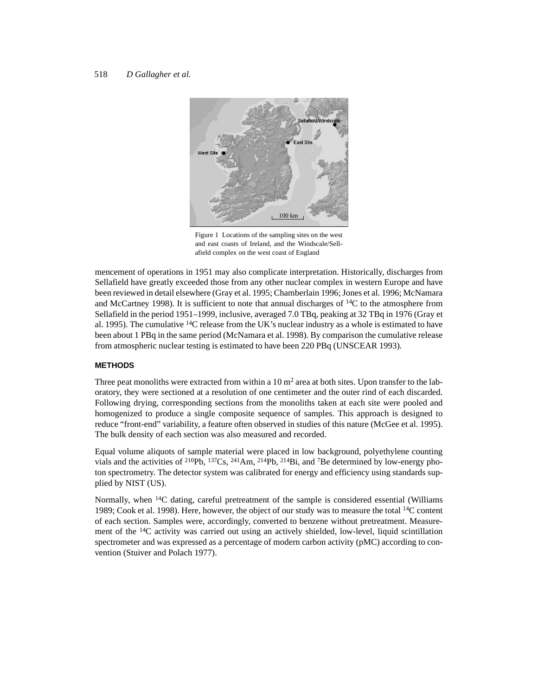## 518 *D Gallagher et al.*



Figure 1 Locations of the sampling sites on the west and east coasts of Ireland, and the Windscale/Sellafield complex on the west coast of England

mencement of operations in 1951 may also complicate interpretation. Historically, discharges from Sellafield have greatly exceeded those from any other nuclear complex in western Europe and have been reviewed in detail elsewhere (Gray et al. 1995; Chamberlain 1996; Jones et al. 1996; McNamara and McCartney 1998). It is sufficient to note that annual discharges of 14C to the atmosphere from Sellafield in the period 1951–1999, inclusive, averaged 7.0 TBq, peaking at 32 TBq in 1976 (Gray et al. 1995). The cumulative  ${}^{14}C$  release from the UK's nuclear industry as a whole is estimated to have been about 1 PBq in the same period (McNamara et al. 1998). By comparison the cumulative release from atmospheric nuclear testing is estimated to have been 220 PBq (UNSCEAR 1993).

## **METHODS**

Three peat monoliths were extracted from within a  $10 \text{ m}^2$  area at both sites. Upon transfer to the laboratory, they were sectioned at a resolution of one centimeter and the outer rind of each discarded. Following drying, corresponding sections from the monoliths taken at each site were pooled and homogenized to produce a single composite sequence of samples. This approach is designed to reduce "front-end" variability, a feature often observed in studies of this nature (McGee et al. 1995). The bulk density of each section was also measured and recorded.

Equal volume aliquots of sample material were placed in low background, polyethylene counting vials and the activities of <sup>210</sup>Pb, <sup>137</sup>Cs, <sup>241</sup>Am, <sup>214</sup>Pb, <sup>214</sup>Bi, and <sup>7</sup>Be determined by low-energy photon spectrometry. The detector system was calibrated for energy and efficiency using standards supplied by NIST (US).

Normally, when <sup>14</sup>C dating, careful pretreatment of the sample is considered essential (Williams 1989; Cook et al. 1998). Here, however, the object of our study was to measure the total 14C content of each section. Samples were, accordingly, converted to benzene without pretreatment. Measurement of the  $14C$  activity was carried out using an actively shielded, low-level, liquid scintillation spectrometer and was expressed as a percentage of modern carbon activity (pMC) according to convention (Stuiver and Polach 1977).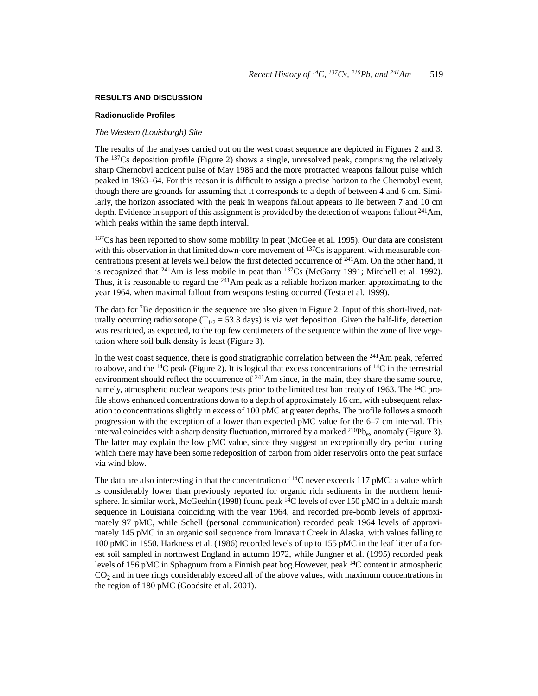## **RESULTS AND DISCUSSION**

## **Radionuclide Profiles**

#### The Western (Louisburgh) Site

The results of the analyses carried out on the west coast sequence are depicted in Figures 2 and 3. The 137Cs deposition profile (Figure 2) shows a single, unresolved peak, comprising the relatively sharp Chernobyl accident pulse of May 1986 and the more protracted weapons fallout pulse which peaked in 1963–64. For this reason it is difficult to assign a precise horizon to the Chernobyl event, though there are grounds for assuming that it corresponds to a depth of between 4 and 6 cm. Similarly, the horizon associated with the peak in weapons fallout appears to lie between 7 and 10 cm depth. Evidence in support of this assignment is provided by the detection of weapons fallout <sup>241</sup>Am, which peaks within the same depth interval.

<sup>137</sup>Cs has been reported to show some mobility in peat (McGee et al. 1995). Our data are consistent with this observation in that limited down-core movement of <sup>137</sup>Cs is apparent, with measurable concentrations present at levels well below the first detected occurrence of 241Am. On the other hand, it is recognized that  $^{241}$ Am is less mobile in peat than  $^{137}Cs$  (McGarry 1991; Mitchell et al. 1992). Thus, it is reasonable to regard the  $^{241}$ Am peak as a reliable horizon marker, approximating to the year 1964, when maximal fallout from weapons testing occurred (Testa et al. 1999).

The data for <sup>7</sup>Be deposition in the sequence are also given in Figure 2. Input of this short-lived, naturally occurring radioisotope ( $T_{1/2}$  = 53.3 days) is via wet deposition. Given the half-life, detection was restricted, as expected, to the top few centimeters of the sequence within the zone of live vegetation where soil bulk density is least (Figure 3).

In the west coast sequence, there is good stratigraphic correlation between the  $^{241}$ Am peak, referred to above, and the <sup>14</sup>C peak (Figure 2). It is logical that excess concentrations of <sup>14</sup>C in the terrestrial environment should reflect the occurrence of  $241$ Am since, in the main, they share the same source, namely, atmospheric nuclear weapons tests prior to the limited test ban treaty of 1963. The <sup>14</sup>C profile shows enhanced concentrations down to a depth of approximately 16 cm, with subsequent relaxation to concentrations slightly in excess of 100 pMC at greater depths. The profile follows a smooth progression with the exception of a lower than expected pMC value for the 6–7 cm interval. This interval coincides with a sharp density fluctuation, mirrored by a marked <sup>210</sup>Pb<sub>ex</sub> anomaly (Figure 3). The latter may explain the low pMC value, since they suggest an exceptionally dry period during which there may have been some redeposition of carbon from older reservoirs onto the peat surface via wind blow.

The data are also interesting in that the concentration of  $^{14}$ C never exceeds 117 pMC; a value which is considerably lower than previously reported for organic rich sediments in the northern hemisphere. In similar work, McGeehin (1998) found peak  $^{14}C$  levels of over 150 pMC in a deltaic marsh sequence in Louisiana coinciding with the year 1964, and recorded pre-bomb levels of approximately 97 pMC, while Schell (personal communication) recorded peak 1964 levels of approximately 145 pMC in an organic soil sequence from Imnavait Creek in Alaska, with values falling to 100 pMC in 1950. Harkness et al. (1986) recorded levels of up to 155 pMC in the leaf litter of a forest soil sampled in northwest England in autumn 1972, while Jungner et al. (1995) recorded peak levels of 156 pMC in Sphagnum from a Finnish peat bog.However, peak 14C content in atmospheric  $CO<sub>2</sub>$  and in tree rings considerably exceed all of the above values, with maximum concentrations in the region of 180 pMC (Goodsite et al. 2001).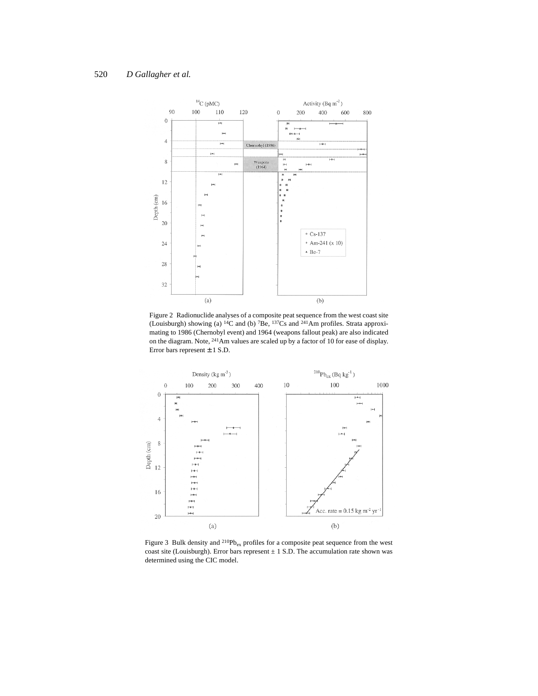

Figure 2 Radionuclide analyses of a composite peat sequence from the west coast site (Louisburgh) showing (a)  ${}^{14}C$  and (b)  ${}^{7}Be$ ,  ${}^{137}Cs$  and  ${}^{241}Am$  profiles. Strata approximating to 1986 (Chernobyl event) and 1964 (weapons fallout peak) are also indicated on the diagram. Note, 241Am values are scaled up by a factor of 10 for ease of display. Error bars represent ± 1 S.D.



Figure 3 Bulk density and  $^{210}Pb_{ex}$  profiles for a composite peat sequence from the west coast site (Louisburgh). Error bars represent  $\pm$  1 S.D. The accumulation rate shown was determined using the CIC model.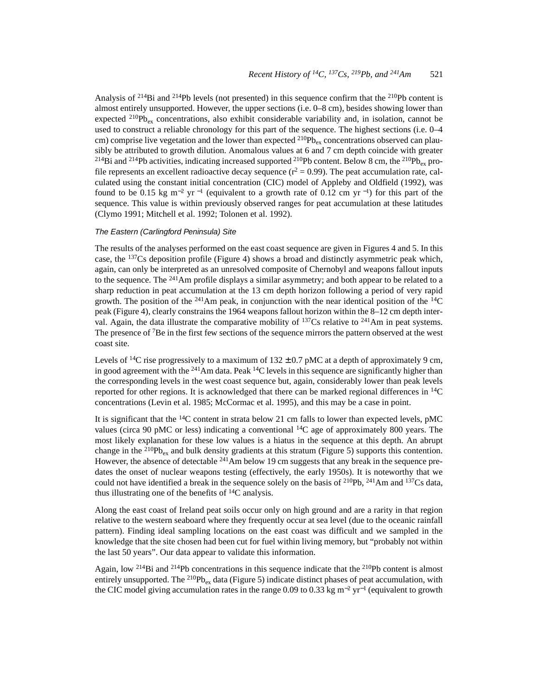Analysis of 214Bi and 214Pb levels (not presented) in this sequence confirm that the 210Pb content is almost entirely unsupported. However, the upper sections (i.e. 0–8 cm), besides showing lower than expected <sup>210</sup>Pb<sub>ex</sub> concentrations, also exhibit considerable variability and, in isolation, cannot be used to construct a reliable chronology for this part of the sequence. The highest sections (i.e. 0–4 cm) comprise live vegetation and the lower than expected  $^{210}Pb_{ex}$  concentrations observed can plausibly be attributed to growth dilution. Anomalous values at 6 and 7 cm depth coincide with greater <sup>214</sup>Bi and <sup>214</sup>Pb activities, indicating increased supported <sup>210</sup>Pb content. Below 8 cm, the <sup>210</sup>Pb<sub>ey</sub> profile represents an excellent radioactive decay sequence  $(r^2 = 0.99)$ . The peat accumulation rate, calculated using the constant initial concentration (CIC) model of Appleby and Oldfield (1992), was found to be 0.15 kg m<sup>-2</sup> yr<sup>-1</sup> (equivalent to a growth rate of 0.12 cm yr<sup>-1</sup>) for this part of the sequence. This value is within previously observed ranges for peat accumulation at these latitudes (Clymo 1991; Mitchell et al. 1992; Tolonen et al. 1992).

### The Eastern (Carlingford Peninsula) Site

The results of the analyses performed on the east coast sequence are given in Figures 4 and 5. In this case, the  $137Cs$  deposition profile (Figure 4) shows a broad and distinctly asymmetric peak which, again, can only be interpreted as an unresolved composite of Chernobyl and weapons fallout inputs to the sequence. The <sup>241</sup>Am profile displays a similar asymmetry; and both appear to be related to a sharp reduction in peat accumulation at the 13 cm depth horizon following a period of very rapid growth. The position of the <sup>241</sup>Am peak, in conjunction with the near identical position of the <sup>14</sup>C peak (Figure 4), clearly constrains the 1964 weapons fallout horizon within the 8–12 cm depth interval. Again, the data illustrate the comparative mobility of  $137Cs$  relative to  $241Am$  in peat systems. The presence of  $7Be$  in the first few sections of the sequence mirrors the pattern observed at the west coast site.

Levels of <sup>14</sup>C rise progressively to a maximum of  $132 \pm 0.7$  pMC at a depth of approximately 9 cm, in good agreement with the  $^{241}$ Am data. Peak  $^{14}$ C levels in this sequence are significantly higher than the corresponding levels in the west coast sequence but, again, considerably lower than peak levels reported for other regions. It is acknowledged that there can be marked regional differences in  $^{14}C$ concentrations (Levin et al. 1985; McCormac et al. 1995), and this may be a case in point.

It is significant that the  ${}^{14}C$  content in strata below 21 cm falls to lower than expected levels, pMC values (circa 90 pMC or less) indicating a conventional  $^{14}C$  age of approximately 800 years. The most likely explanation for these low values is a hiatus in the sequence at this depth. An abrupt change in the <sup>210</sup>Pb<sub>ex</sub> and bulk density gradients at this stratum (Figure 5) supports this contention. However, the absence of detectable <sup>241</sup>Am below 19 cm suggests that any break in the sequence predates the onset of nuclear weapons testing (effectively, the early 1950s). It is noteworthy that we could not have identified a break in the sequence solely on the basis of <sup>210</sup>Pb, <sup>241</sup>Am and <sup>137</sup>Cs data, thus illustrating one of the benefits of  $^{14}C$  analysis.

Along the east coast of Ireland peat soils occur only on high ground and are a rarity in that region relative to the western seaboard where they frequently occur at sea level (due to the oceanic rainfall pattern). Finding ideal sampling locations on the east coast was difficult and we sampled in the knowledge that the site chosen had been cut for fuel within living memory, but "probably not within the last 50 years". Our data appear to validate this information.

Again, low <sup>214</sup>Bi and <sup>214</sup>Pb concentrations in this sequence indicate that the <sup>210</sup>Pb content is almost entirely unsupported. The <sup>210</sup>Pb<sub>ex</sub> data (Figure 5) indicate distinct phases of peat accumulation, with the CIC model giving accumulation rates in the range 0.09 to 0.33 kg m<sup>−</sup>2 yr−1 (equivalent to growth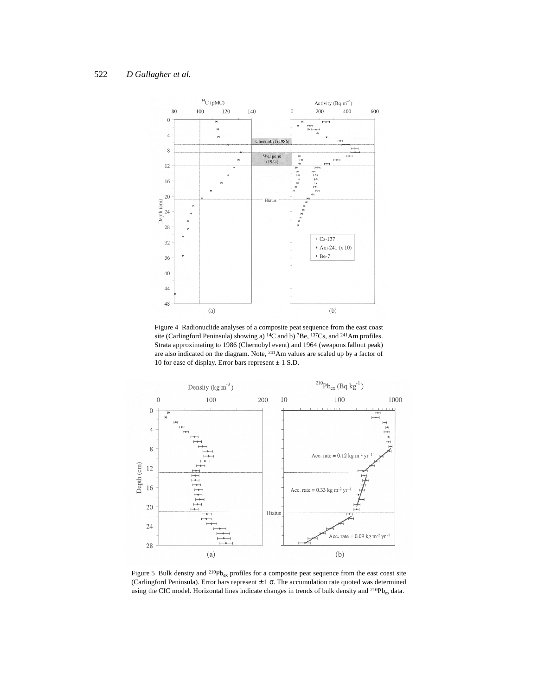# 522 *D Gallagher et al.*



Figure 4 Radionuclide analyses of a composite peat sequence from the east coast site (Carlingford Peninsula) showing a) <sup>14</sup>C and b) <sup>7</sup>Be, <sup>137</sup>Cs, and <sup>241</sup>Am profiles. Strata approximating to 1986 (Chernobyl event) and 1964 (weapons fallout peak) are also indicated on the diagram. Note, 241Am values are scaled up by a factor of 10 for ease of display. Error bars represent  $\pm$  1 S.D.



Figure 5 Bulk density and  $^{210}Pb_{ex}$  profiles for a composite peat sequence from the east coast site (Carlingford Peninsula). Error bars represent  $\pm 1$   $\sigma$ . The accumulation rate quoted was determined using the CIC model. Horizontal lines indicate changes in trends of bulk density and <sup>210</sup>Pb<sub>ex</sub> data.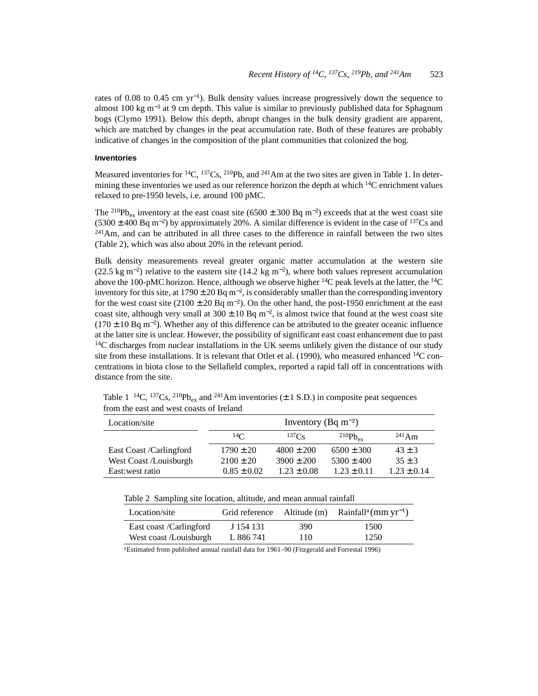rates of 0.08 to 0.45 cm yr<sup>−</sup>1). Bulk density values increase progressively down the sequence to almost 100 kg m<sup>-3</sup> at 9 cm depth. This value is similar to previously published data for Sphagnum bogs (Clymo 1991). Below this depth, abrupt changes in the bulk density gradient are apparent, which are matched by changes in the peat accumulation rate. Both of these features are probably indicative of changes in the composition of the plant communities that colonized the bog.

## **Inventories**

Measured inventories for <sup>14</sup>C, <sup>137</sup>Cs, <sup>210</sup>Pb, and <sup>241</sup>Am at the two sites are given in Table 1. In determining these inventories we used as our reference horizon the depth at which  $^{14}C$  enrichment values relaxed to pre-1950 levels, i.e. around 100 pMC.

The <sup>210</sup>Pb<sub>ex</sub> inventory at the east coast site (6500 ± 300 Bq m<sup>-2</sup>) exceeds that at the west coast site  $(5300 \pm 400 \text{ Bq m}^{-2})$  by approximately 20%. A similar difference is evident in the case of <sup>137</sup>Cs and  $241$ Am, and can be attributed in all three cases to the difference in rainfall between the two sites (Table 2), which was also about 20% in the relevant period.

Bulk density measurements reveal greater organic matter accumulation at the western site (22.5 kg m<sup>-2</sup>) relative to the eastern site (14.2 kg m<sup>-2</sup>), where both values represent accumulation above the 100-pMC horizon. Hence, although we observe higher  $14C$  peak levels at the latter, the  $14C$ inventory for this site, at 1790  $\pm$  20 Bq m<sup>-2</sup>, is considerably smaller than the corresponding inventory for the west coast site  $(2100 \pm 20 \text{ Bq m}^{-2})$ . On the other hand, the post-1950 enrichment at the east coast site, although very small at 300  $\pm$  10 Bq m<sup>-2</sup>, is almost twice that found at the west coast site  $(170 \pm 10 \text{ Bg m}^{-2})$ . Whether any of this difference can be attributed to the greater oceanic influence at the latter site is unclear. However, the possibility of significant east coast enhancement due to past <sup>14</sup>C discharges from nuclear installations in the UK seems unlikely given the distance of our study site from these installations. It is relevant that Otlet et al. (1990), who measured enhanced  $^{14}$ C concentrations in biota close to the Sellafield complex, reported a rapid fall off in concentrations with distance from the site.

Table 1 <sup>14</sup>C, <sup>137</sup>Cs, <sup>210</sup>Pb<sub>ex</sub> and <sup>241</sup>Am inventories ( $\pm$  1 S.D.) in composite peat sequences from the east and west coasts of Ireland

| Location/site           | Inventory (Bq m <sup>-2</sup> ) |                   |                     |                 |  |
|-------------------------|---------------------------------|-------------------|---------------------|-----------------|--|
|                         | 14 $\sim$                       | 137C <sub>c</sub> | $^{210}Pb_{\rm ev}$ | $^{241}$ Am     |  |
| East Coast /Carlingford | $1790 \pm 20$                   | $4800 \pm 200$    | $6500 \pm 300$      | $43 \pm 3$      |  |
| West Coast /Louisburgh  | $2100 \pm 20$                   | $3900 \pm 200$    | $5300 \pm 400$      | $35 \pm 3$      |  |
| East: west ratio        | $0.85 \pm 0.02$                 | $1.23 \pm 0.08$   | $1.23 \pm 0.11$     | $1.23 \pm 0.14$ |  |

| Location/site           | Grid reference | Altitude (m) | Rainfall <sup>a</sup> (mm $yr^{-1}$ ) |
|-------------------------|----------------|--------------|---------------------------------------|
| East coast /Carlingford | J 154 131      | 390.         | 1500                                  |
| West coast /Louisburgh  | L 886 741      | 110          | 1250                                  |
|                         |                |              |                                       |

aEstimated from published annual rainfall data for 1961–90 (Fitzgerald and Forrestal 1996)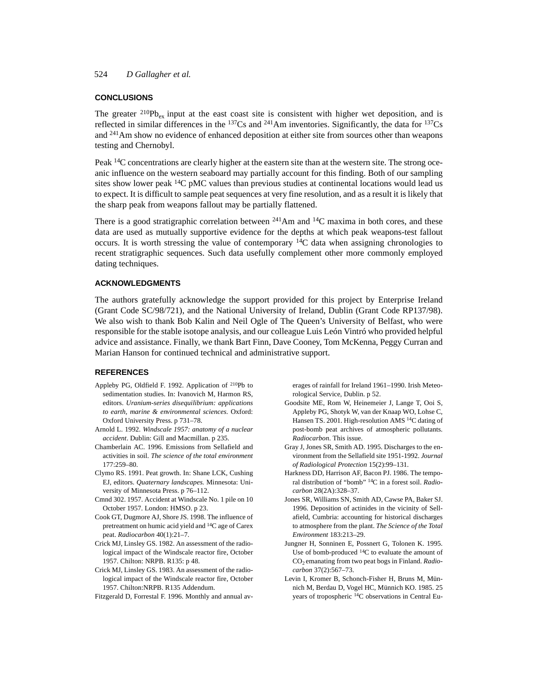## **CONCLUSIONS**

The greater  $^{210}Pb_{ex}$  input at the east coast site is consistent with higher wet deposition, and is reflected in similar differences in the  $137Cs$  and  $241Am$  inventories. Significantly, the data for  $137Cs$ and 241Am show no evidence of enhanced deposition at either site from sources other than weapons testing and Chernobyl.

Peak 14C concentrations are clearly higher at the eastern site than at the western site. The strong oceanic influence on the western seaboard may partially account for this finding. Both of our sampling sites show lower peak  $^{14}C$  pMC values than previous studies at continental locations would lead us to expect. It is difficult to sample peat sequences at very fine resolution, and as a result it is likely that the sharp peak from weapons fallout may be partially flattened.

There is a good stratigraphic correlation between  $^{241}$ Am and  $^{14}$ C maxima in both cores, and these data are used as mutually supportive evidence for the depths at which peak weapons-test fallout occurs. It is worth stressing the value of contemporary  $14C$  data when assigning chronologies to recent stratigraphic sequences. Such data usefully complement other more commonly employed dating techniques.

## **ACKNOWLEDGMENTS**

The authors gratefully acknowledge the support provided for this project by Enterprise Ireland (Grant Code SC/98/721), and the National University of Ireland, Dublin (Grant Code RP137/98). We also wish to thank Bob Kalin and Neil Ogle of The Queen's University of Belfast, who were responsible for the stable isotope analysis, and our colleague Luis León Vintró who provided helpful advice and assistance. Finally, we thank Bart Finn, Dave Cooney, Tom McKenna, Peggy Curran and Marian Hanson for continued technical and administrative support.

#### **REFERENCES**

- Appleby PG, Oldfield F. 1992. Application of 210Pb to sedimentation studies. In: Ivanovich M, Harmon RS, editors. *Uranium-series disequilibrium: applications to earth, marine & environmental sciences.* Oxford: Oxford University Press. p 731–78.
- Arnold L. 1992. *Windscale 1957: anatomy of a nuclear accident*. Dublin: Gill and Macmillan. p 235.
- Chamberlain AC. 1996. Emissions from Sellafield and activities in soil. *The science of the total environment* 177:259–80.
- Clymo RS. 1991. Peat growth. In: Shane LCK, Cushing EJ, editors. *Quaternary landscapes.* Minnesota: University of Minnesota Press. p 76–112.
- Cmnd 302. 1957. Accident at Windscale No. 1 pile on 10 October 1957. London: HMSO. p 23.
- Cook GT, Dugmore AJ, Shore JS. 1998. The influence of pretreatment on humic acid yield and 14C age of Carex peat. *Radiocarbon* 40(1):21–7.
- Crick MJ, Linsley GS. 1982. An assessment of the radiological impact of the Windscale reactor fire, October 1957. Chilton: NRPB. R135: p 48.
- Crick MJ, Linsley GS. 1983. An assessment of the radiological impact of the Windscale reactor fire, October 1957. Chilton:NRPB. R135 Addendum.
- Fitzgerald D, Forrestal F. 1996. Monthly and annual av-

erages of rainfall for Ireland 1961–1990. Irish Meteorological Service, Dublin. p 52.

- Goodsite ME, Rom W, Heinemeier J, Lange T, Ooi S, Appleby PG, Shotyk W, van der Knaap WO, Lohse C, Hansen TS. 2001. High-resolution AMS 14C dating of post-bomb peat archives of atmospheric pollutants. *Radiocarbon*. This issue.
- Gray J, Jones SR, Smith AD. 1995. Discharges to the environment from the Sellafield site 1951-1992. *Journal of Radiological Protection* 15(2):99–131.
- Harkness DD, Harrison AF, Bacon PJ. 1986. The temporal distribution of "bomb" 14C in a forest soil. *Radiocarbon* 28(2A):328–37.
- Jones SR, Williams SN, Smith AD, Cawse PA, Baker SJ. 1996. Deposition of actinides in the vicinity of Sellafield, Cumbria: accounting for historical discharges to atmosphere from the plant. *The Science of the Total Environment* 183:213–29.
- Jungner H, Sonninen E, Possnert G, Tolonen K. 1995. Use of bomb-produced 14C to evaluate the amount of CO2 emanating from two peat bogs in Finland. *Radiocarbon* 37(2):567–73.
- Levin I, Kromer B, Schonch-Fisher H, Bruns M, Münnich M, Berdau D, Vogel HC, Münnich KO. 1985. 25 years of tropospheric 14C observations in Central Eu-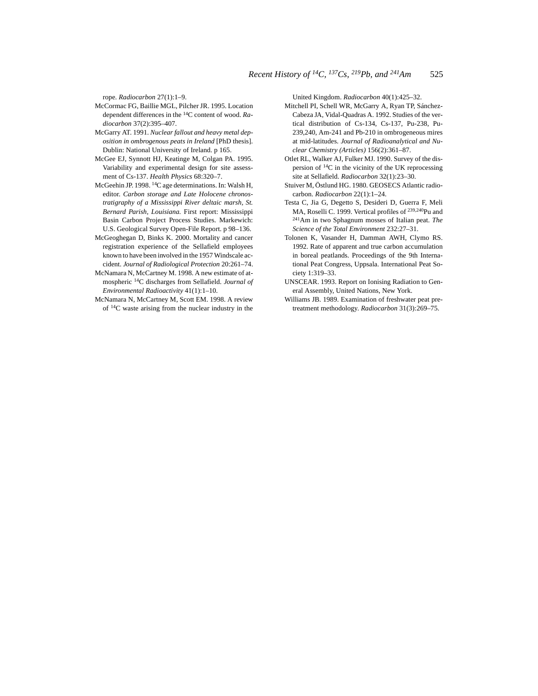rope. *Radiocarbon* 27(1):1–9.

- McCormac FG, Baillie MGL, Pilcher JR. 1995. Location dependent differences in the 14C content of wood. *Radiocarbon* 37(2):395–407.
- McGarry AT. 1991. *Nuclear fallout and heavy metal deposition in ombrogenous peats in Ireland* [PhD thesis]. Dublin: National University of Ireland. p 165.
- McGee EJ, Synnott HJ, Keatinge M, Colgan PA. 1995. Variability and experimental design for site assessment of Cs-137. *Health Physics* 68:320–7.
- McGeehin JP. 1998. 14C age determinations. In: Walsh H, editor. *Carbon storage and Late Holocene chronostratigraphy of a Mississippi River deltaic marsh, St. Bernard Parish, Louisiana.* First report: Mississippi Basin Carbon Project Process Studies. Markewich: U.S. Geological Survey Open-File Report. p 98–136.
- McGeoghegan D, Binks K. 2000. Mortality and cancer registration experience of the Sellafield employees known to have been involved in the 1957 Windscale accident. *Journal of Radiological Protection* 20:261–74.
- McNamara N, McCartney M. 1998. A new estimate of atmospheric 14C discharges from Sellafield. *Journal of Environmental Radioactivity* 41(1):1–10.
- McNamara N, McCartney M, Scott EM. 1998. A review of 14C waste arising from the nuclear industry in the

United Kingdom. *Radiocarbon* 40(1):425–32.

- Mitchell PI, Schell WR, McGarry A, Ryan TP, Sánchez-Cabeza JA, Vidal-Quadras A. 1992. Studies of the vertical distribution of Cs-134, Cs-137, Pu-238, Pu-239,240, Am-241 and Pb-210 in ombrogeneous mires at mid-latitudes. *Journal of Radioanalytical and Nuclear Chemistry (Articles)* 156(2):361–87.
- Otlet RL, Walker AJ, Fulker MJ. 1990. Survey of the dispersion of 14C in the vicinity of the UK reprocessing site at Sellafield. *Radiocarbon* 32(1):23–30.
- Stuiver M, Östlund HG. 1980. GEOSECS Atlantic radiocarbon. *Radiocarbon* 22(1):1–24.
- Testa C, Jia G, Degetto S, Desideri D, Guerra F, Meli MA, Roselli C. 1999. Vertical profiles of <sup>239,240</sup>Pu and 241Am in two Sphagnum mosses of Italian peat*. The Science of the Total Environment* 232:27–31.
- Tolonen K, Vasander H, Damman AWH, Clymo RS. 1992. Rate of apparent and true carbon accumulation in boreal peatlands. Proceedings of the 9th International Peat Congress, Uppsala. International Peat Society 1:319–33.
- UNSCEAR. 1993. Report on Ionising Radiation to General Assembly, United Nations, New York.
- <span id="page-8-0"></span>Williams JB. 1989. Examination of freshwater peat pretreatment methodology. *Radiocarbon* 31(3):269–75.